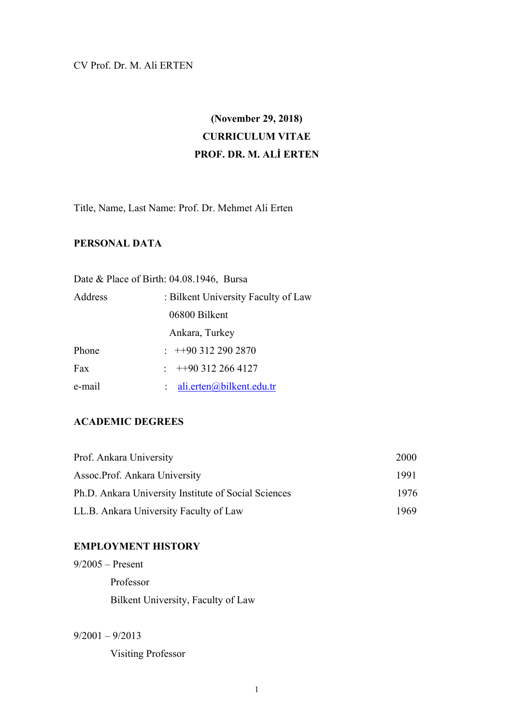## CV Prof. Dr. M. Ali ERTEN

# **(November 29, 2018) CURRICULUM VITAE PROF. DR. M. ALİ ERTEN**

Title, Name, Last Name: Prof. Dr. Mehmet Ali Erten

## **PERSONAL DATA**

|         | Date & Place of Birth: 04.08.1946, Bursa |
|---------|------------------------------------------|
| Address | : Bilkent University Faculty of Law      |
|         | 06800 Bilkent                            |
|         | Ankara, Turkey                           |
| Phone   | $\div$ ++90 312 290 2870                 |
| Fax     | $+903122664127$                          |
| e-mail  | ali.erten@bilkent.edu.tr                 |

## **ACADEMIC DEGREES**

| Prof. Ankara University                              | 2000 |
|------------------------------------------------------|------|
| Assoc.Prof. Ankara University                        | 1991 |
| Ph.D. Ankara University Institute of Social Sciences | 1976 |
| LL.B. Ankara University Faculty of Law               | 1969 |

## **EMPLOYMENT HISTORY**

9/2005 – Present Professor Bilkent University, Faculty of Law

 $9/2001 - 9/2013$ 

Visiting Professor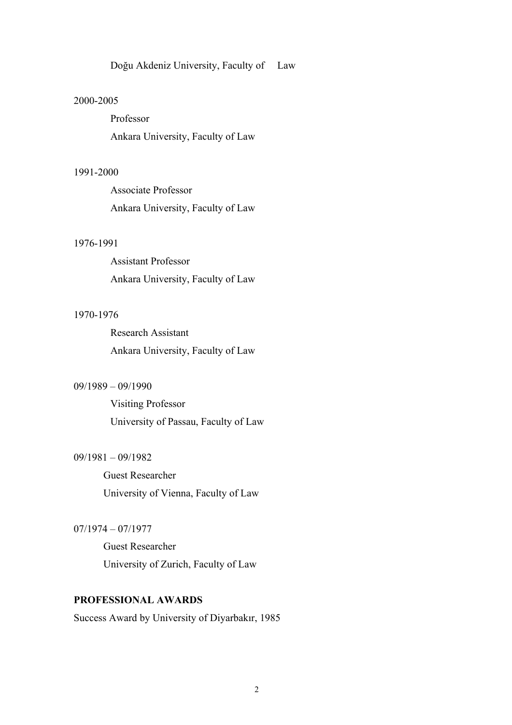Doğu Akdeniz University, Faculty of Law

#### 2000-2005

Professor Ankara University, Faculty of Law

#### 1991-2000

Associate Professor Ankara University, Faculty of Law

#### 1976-1991

Assistant Professor Ankara University, Faculty of Law

#### 1970-1976

Research Assistant Ankara University, Faculty of Law

#### 09/1989 – 09/1990

Visiting Professor University of Passau, Faculty of Law

#### 09/1981 – 09/1982

 Guest Researcher University of Vienna, Faculty of Law

#### 07/1974 – 07/1977

 Guest Researcher University of Zurich, Faculty of Law

## **PROFESSIONAL AWARDS**

Success Award by University of Diyarbakır, 1985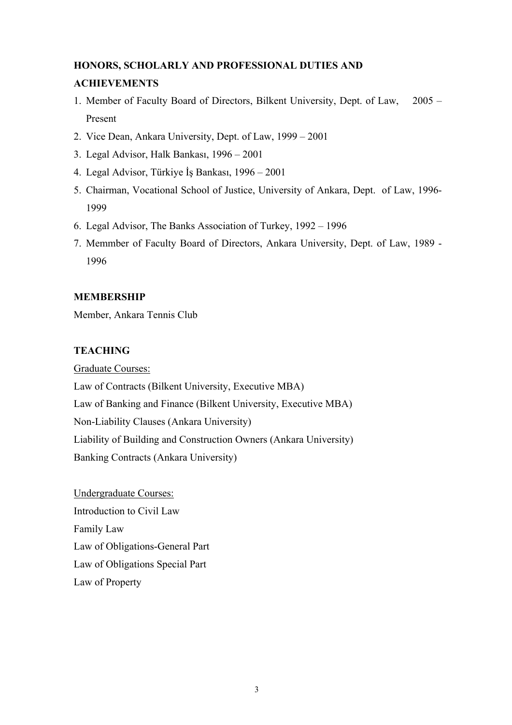## **HONORS, SCHOLARLY AND PROFESSIONAL DUTIES AND ACHIEVEMENTS**

- 1. Member of Faculty Board of Directors, Bilkent University, Dept. of Law, 2005 Present
- 2. Vice Dean, Ankara University, Dept. of Law, 1999 2001
- 3. Legal Advisor, Halk Bankası, 1996 2001
- 4. Legal Advisor, Türkiye İş Bankası, 1996 2001
- 5. Chairman, Vocational School of Justice, University of Ankara, Dept. of Law, 1996- 1999
- 6. Legal Advisor, The Banks Association of Turkey, 1992 1996
- 7. Memmber of Faculty Board of Directors, Ankara University, Dept. of Law, 1989 1996

## **MEMBERSHIP**

Member, Ankara Tennis Club

## **TEACHING**

Graduate Courses: Law of Contracts (Bilkent University, Executive MBA) Law of Banking and Finance (Bilkent University, Executive MBA) Non-Liability Clauses (Ankara University) Liability of Building and Construction Owners (Ankara University) Banking Contracts (Ankara University)

Undergraduate Courses: Introduction to Civil Law Family Law Law of Obligations-General Part Law of Obligations Special Part Law of Property